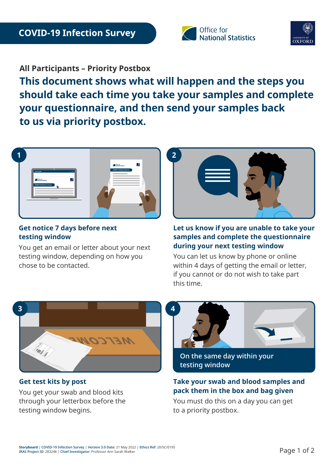



**All Participants – Priority Postbox**

**This document shows what will happen and the steps you should take each time you take your samples and complete your questionnaire, and then send your samples back to us via priority postbox.** 



## **Get notice 7 days before next testing window**

You get an email or letter about your next testing window, depending on how you chose to be contacted.



### **Let us know if you are unable to take your samples and complete the questionnaire during your next testing window**

You can let us know by phone or online within 4 days of getting the email or letter, if you cannot or do not wish to take part this time.



**Get test kits by post**

You get your swab and blood kits through your letterbox before the testing window begins.



**On the same day within your testing window**

# **Take your swab and blood samples and pack them in the box and bag given**

You must do this on a day you can get to a priority postbox.